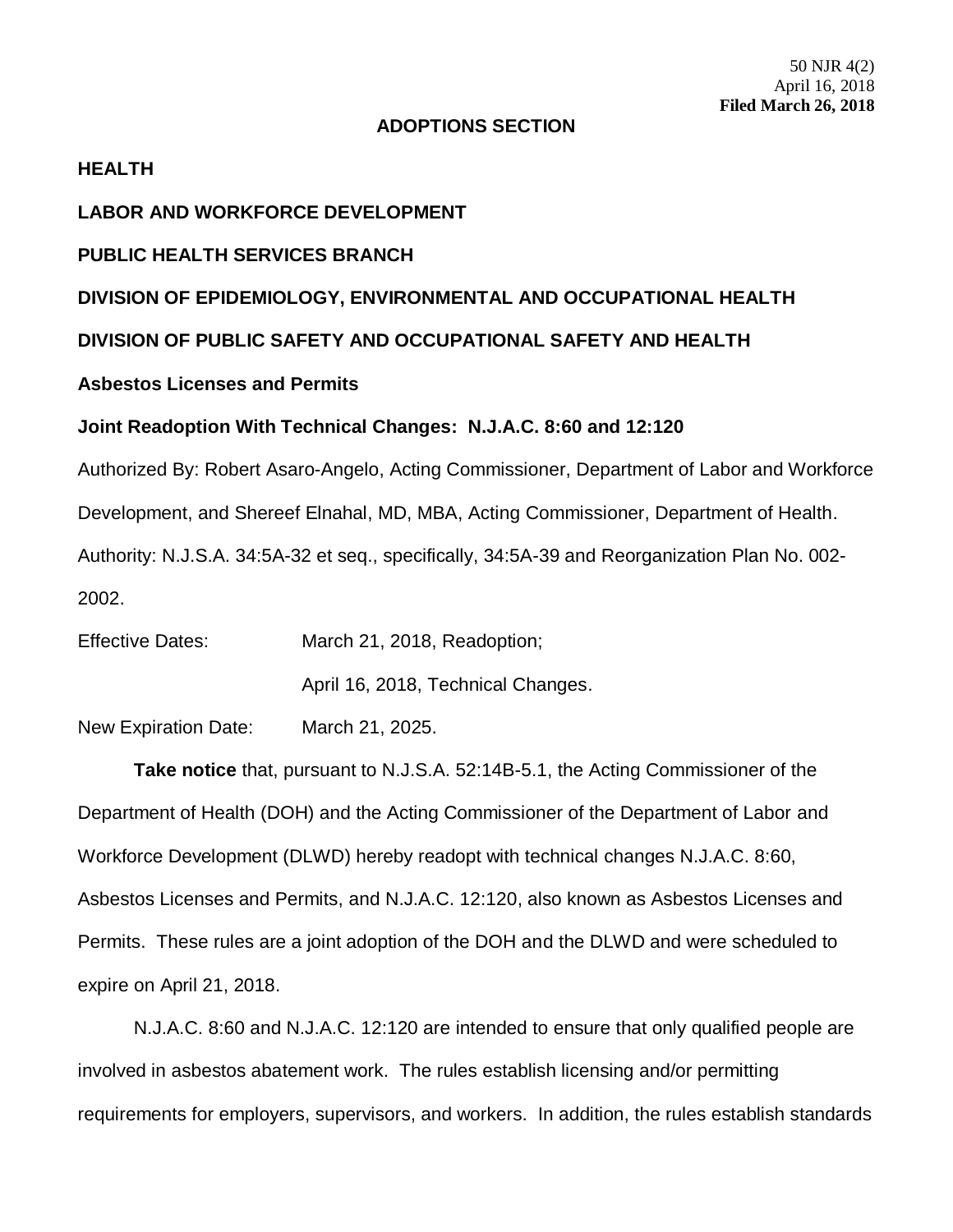#### **ADOPTIONS SECTION**

#### **HEALTH**

### **LABOR AND WORKFORCE DEVELOPMENT**

### **PUBLIC HEALTH SERVICES BRANCH**

### **DIVISION OF EPIDEMIOLOGY, ENVIRONMENTAL AND OCCUPATIONAL HEALTH**

**DIVISION OF PUBLIC SAFETY AND OCCUPATIONAL SAFETY AND HEALTH**

### **Asbestos Licenses and Permits**

#### **Joint Readoption With Technical Changes: N.J.A.C. 8:60 and 12:120**

Authorized By: Robert Asaro-Angelo, Acting Commissioner, Department of Labor and Workforce Development, and Shereef Elnahal, MD, MBA, Acting Commissioner, Department of Health. Authority: N.J.S.A. 34:5A-32 et seq., specifically, 34:5A-39 and Reorganization Plan No. 002- 2002.

| <b>Effective Dates:</b> | March 21, 2018, Readoption;        |
|-------------------------|------------------------------------|
|                         | April 16, 2018, Technical Changes. |

New Expiration Date: March 21, 2025.

**Take notice** that, pursuant to N.J.S.A. 52:14B-5.1, the Acting Commissioner of the Department of Health (DOH) and the Acting Commissioner of the Department of Labor and Workforce Development (DLWD) hereby readopt with technical changes N.J.A.C. 8:60, Asbestos Licenses and Permits, and N.J.A.C. 12:120, also known as Asbestos Licenses and Permits. These rules are a joint adoption of the DOH and the DLWD and were scheduled to expire on April 21, 2018.

N.J.A.C. 8:60 and N.J.A.C. 12:120 are intended to ensure that only qualified people are involved in asbestos abatement work. The rules establish licensing and/or permitting requirements for employers, supervisors, and workers. In addition, the rules establish standards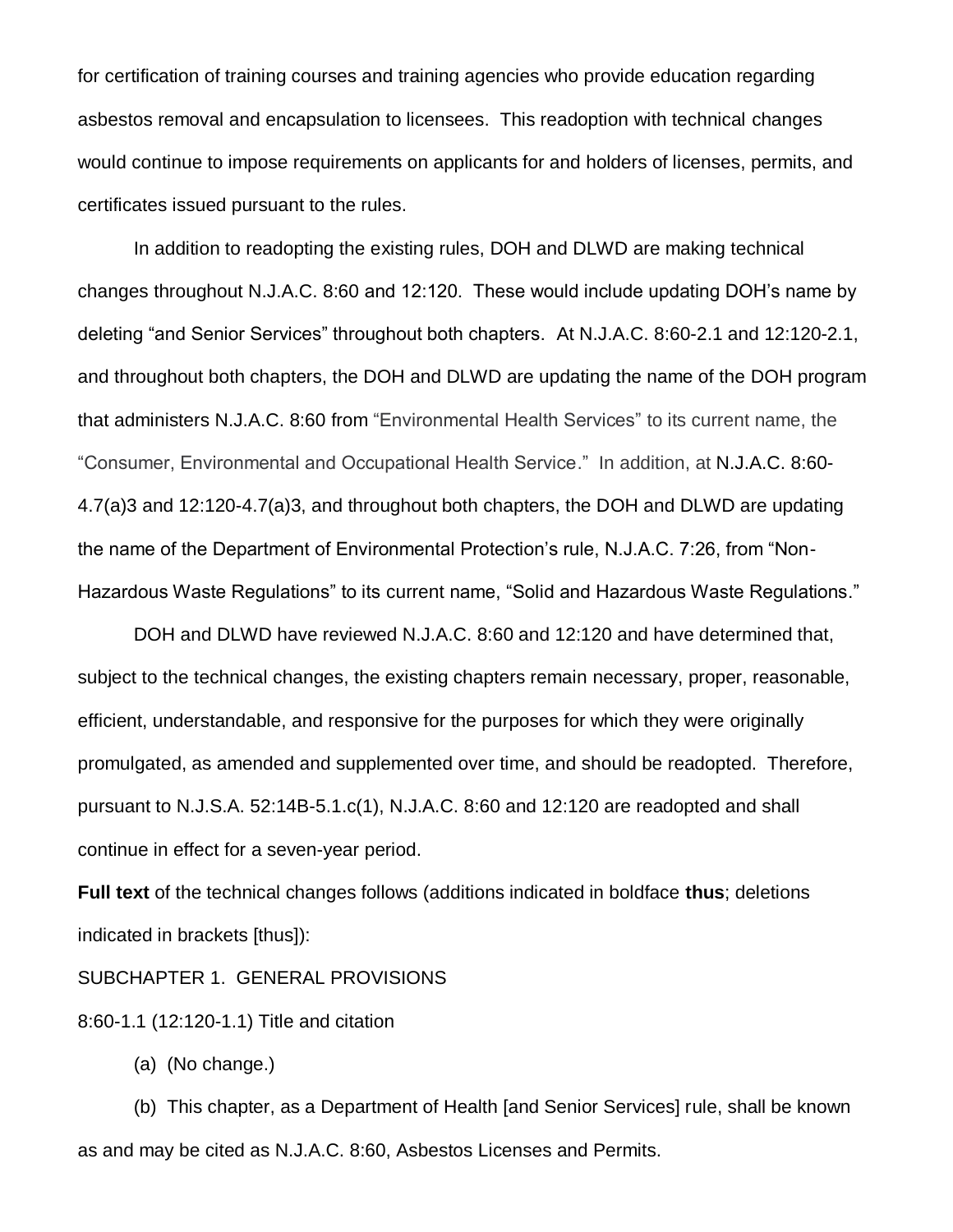for certification of training courses and training agencies who provide education regarding asbestos removal and encapsulation to licensees. This readoption with technical changes would continue to impose requirements on applicants for and holders of licenses, permits, and certificates issued pursuant to the rules.

In addition to readopting the existing rules, DOH and DLWD are making technical changes throughout N.J.A.C. 8:60 and 12:120. These would include updating DOH's name by deleting "and Senior Services" throughout both chapters. At N.J.A.C. 8:60-2.1 and 12:120-2.1, and throughout both chapters, the DOH and DLWD are updating the name of the DOH program that administers N.J.A.C. 8:60 from "Environmental Health Services" to its current name, the "Consumer, Environmental and Occupational Health Service." In addition, at N.J.A.C. 8:60- 4.7(a)3 and 12:120-4.7(a)3, and throughout both chapters, the DOH and DLWD are updating the name of the Department of Environmental Protection's rule, N.J.A.C. 7:26, from "Non-Hazardous Waste Regulations" to its current name, "Solid and Hazardous Waste Regulations."

DOH and DLWD have reviewed N.J.A.C. 8:60 and 12:120 and have determined that, subject to the technical changes, the existing chapters remain necessary, proper, reasonable, efficient, understandable, and responsive for the purposes for which they were originally promulgated, as amended and supplemented over time, and should be readopted. Therefore, pursuant to N.J.S.A. 52:14B-5.1.c(1), N.J.A.C. 8:60 and 12:120 are readopted and shall continue in effect for a seven-year period.

**Full text** of the technical changes follows (additions indicated in boldface **thus**; deletions indicated in brackets [thus]):

SUBCHAPTER 1. GENERAL PROVISIONS

8:60-1.1 (12:120-1.1) Title and citation

(a) (No change.)

(b) This chapter, as a Department of Health [and Senior Services] rule, shall be known as and may be cited as N.J.A.C. 8:60, Asbestos Licenses and Permits.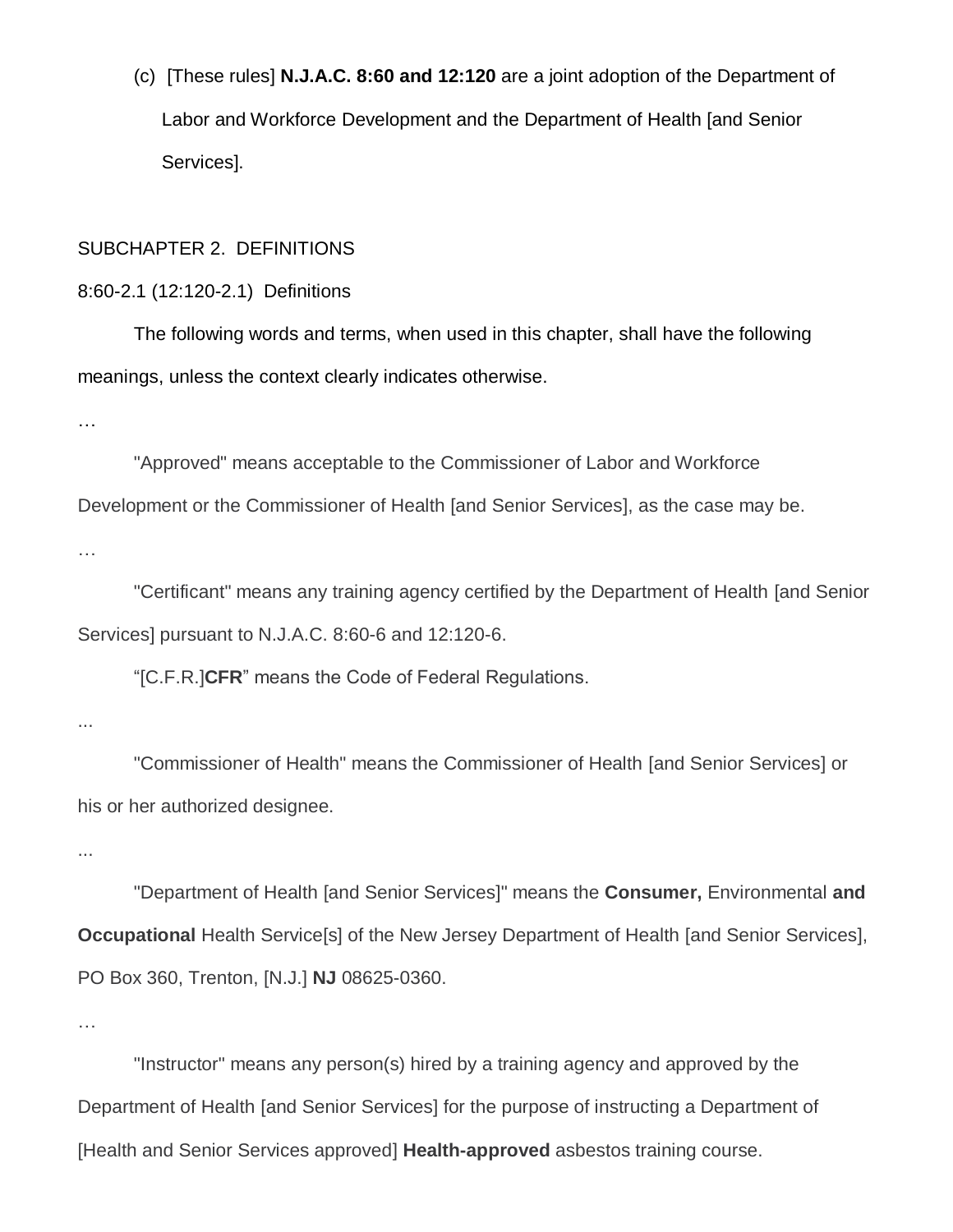(c) [These rules] **N.J.A.C. 8:60 and 12:120** are a joint adoption of the Department of Labor and Workforce Development and the Department of Health [and Senior Services].

### SUBCHAPTER 2. DEFINITIONS

### 8:60-2.1 (12:120-2.1) Definitions

The following words and terms, when used in this chapter, shall have the following meanings, unless the context clearly indicates otherwise.

…

"Approved" means acceptable to the Commissioner of Labor and Workforce Development or the Commissioner of Health [and Senior Services], as the case may be. …

"Certificant" means any training agency certified by the Department of Health [and Senior Services] pursuant to N.J.A.C. 8:60-6 and 12:120-6.

"[C.F.R.]**CFR**" means the Code of Federal Regulations.

...

"Commissioner of Health" means the Commissioner of Health [and Senior Services] or his or her authorized designee.

...

"Department of Health [and Senior Services]" means the **Consumer,** Environmental **and Occupational Health Service[s] of the New Jersey Department of Health [and Senior Services],** PO Box 360, Trenton, [N.J.] **NJ** 08625-0360.

…

"Instructor" means any person(s) hired by a training agency and approved by the Department of Health [and Senior Services] for the purpose of instructing a Department of [Health and Senior Services approved] **Health-approved** asbestos training course.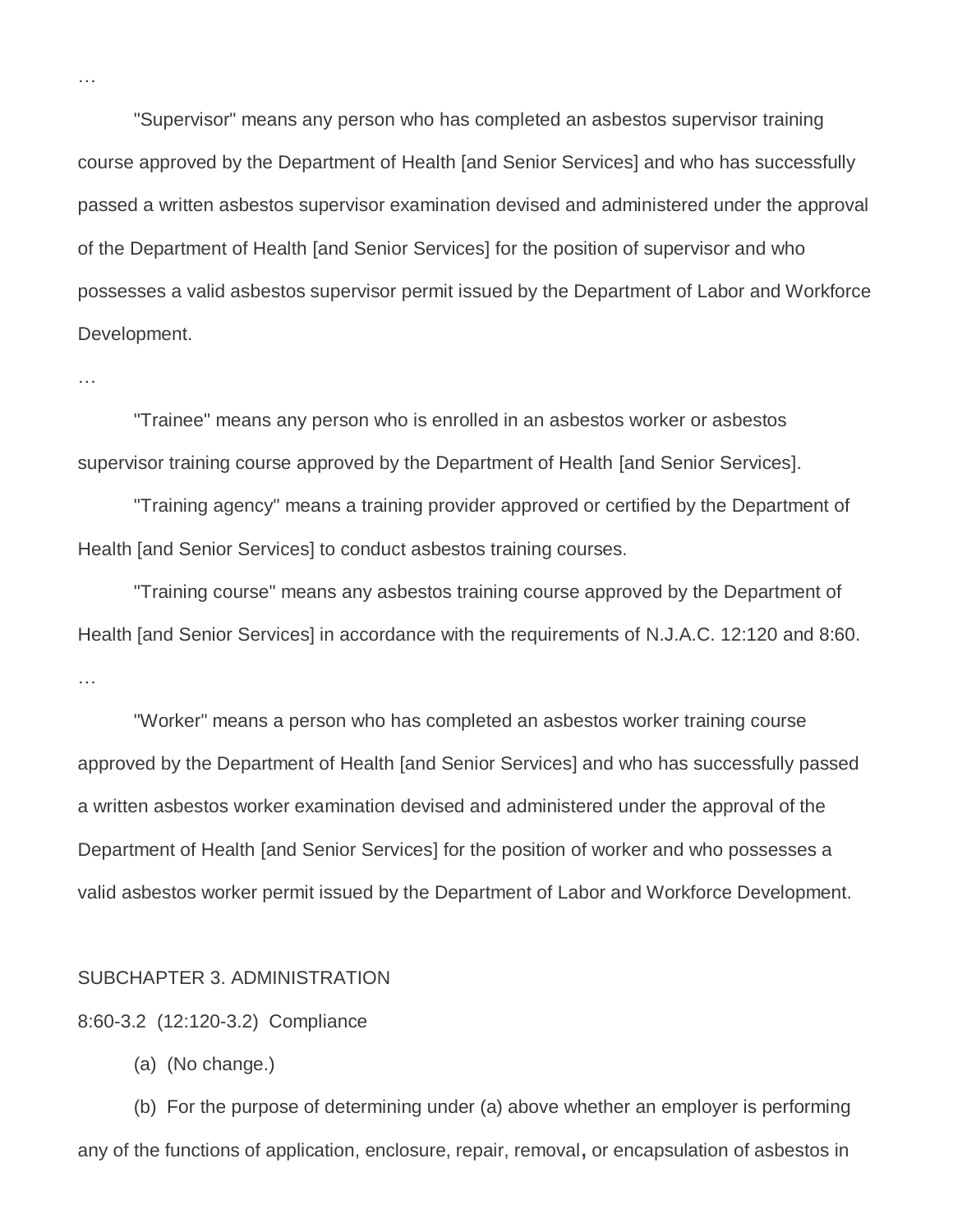"Supervisor" means any person who has completed an asbestos supervisor training course approved by the Department of Health [and Senior Services] and who has successfully passed a written asbestos supervisor examination devised and administered under the approval of the Department of Health [and Senior Services] for the position of supervisor and who possesses a valid asbestos supervisor permit issued by the Department of Labor and Workforce Development.

…

…

"Trainee" means any person who is enrolled in an asbestos worker or asbestos supervisor training course approved by the Department of Health [and Senior Services].

"Training agency" means a training provider approved or certified by the Department of Health [and Senior Services] to conduct asbestos training courses.

"Training course" means any asbestos training course approved by the Department of Health [and Senior Services] in accordance with the requirements of N.J.A.C. 12:120 and 8:60. …

"Worker" means a person who has completed an asbestos worker training course approved by the Department of Health [and Senior Services] and who has successfully passed a written asbestos worker examination devised and administered under the approval of the Department of Health [and Senior Services] for the position of worker and who possesses a valid asbestos worker permit issued by the Department of Labor and Workforce Development.

### SUBCHAPTER 3. ADMINISTRATION

8:60-3.2 (12:120-3.2) Compliance

(a) (No change.)

(b) For the purpose of determining under (a) above whether an employer is performing any of the functions of application, enclosure, repair, removal**,** or encapsulation of asbestos in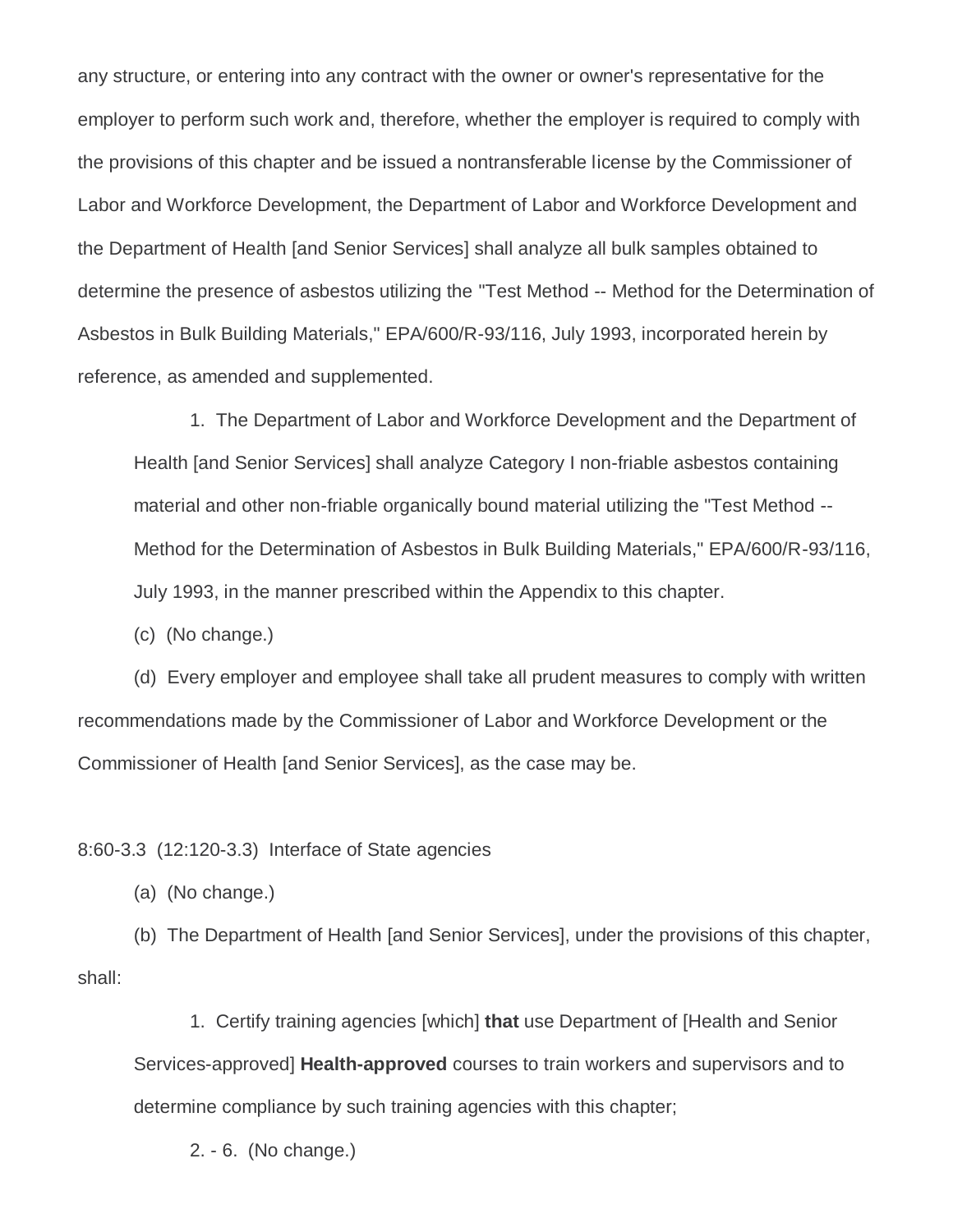any structure, or entering into any contract with the owner or owner's representative for the employer to perform such work and, therefore, whether the employer is required to comply with the provisions of this chapter and be issued a nontransferable license by the Commissioner of Labor and Workforce Development, the Department of Labor and Workforce Development and the Department of Health [and Senior Services] shall analyze all bulk samples obtained to determine the presence of asbestos utilizing the "Test Method -- Method for the Determination of Asbestos in Bulk Building Materials," EPA/600/R-93/116, July 1993, incorporated herein by reference, as amended and supplemented.

1. The Department of Labor and Workforce Development and the Department of Health [and Senior Services] shall analyze Category I non-friable asbestos containing material and other non-friable organically bound material utilizing the "Test Method -- Method for the Determination of Asbestos in Bulk Building Materials," EPA/600/R-93/116, July 1993, in the manner prescribed within the Appendix to this chapter.

(c) (No change.)

(d) Every employer and employee shall take all prudent measures to comply with written recommendations made by the Commissioner of Labor and Workforce Development or the Commissioner of Health [and Senior Services], as the case may be.

#### 8:60-3.3 (12:120-3.3) Interface of State agencies

(a) (No change.)

(b) The Department of Health [and Senior Services], under the provisions of this chapter, shall:

1. Certify training agencies [which] **that** use Department of [Health and Senior Services-approved] **Health-approved** courses to train workers and supervisors and to determine compliance by such training agencies with this chapter;

2. - 6. (No change.)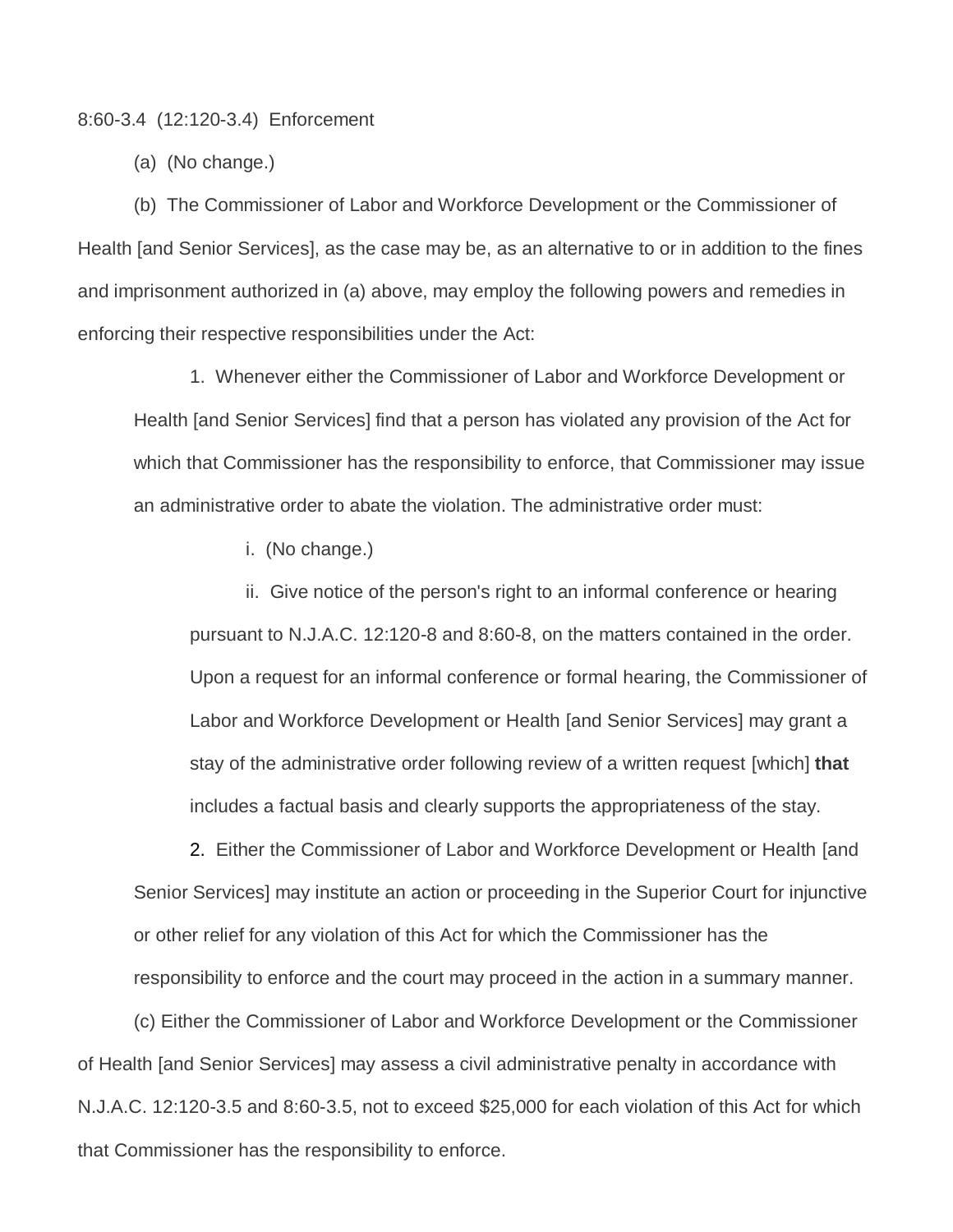#### 8:60-3.4 (12:120-3.4) Enforcement

(a) (No change.)

(b) The Commissioner of Labor and Workforce Development or the Commissioner of Health [and Senior Services], as the case may be, as an alternative to or in addition to the fines and imprisonment authorized in (a) above, may employ the following powers and remedies in enforcing their respective responsibilities under the Act:

1. Whenever either the Commissioner of Labor and Workforce Development or Health [and Senior Services] find that a person has violated any provision of the Act for which that Commissioner has the responsibility to enforce, that Commissioner may issue an administrative order to abate the violation. The administrative order must:

i. (No change.)

ii. Give notice of the person's right to an informal conference or hearing pursuant to N.J.A.C. 12:120-8 and 8:60-8, on the matters contained in the order. Upon a request for an informal conference or formal hearing, the Commissioner of Labor and Workforce Development or Health [and Senior Services] may grant a stay of the administrative order following review of a written request [which] **that** includes a factual basis and clearly supports the appropriateness of the stay.

2. Either the Commissioner of Labor and Workforce Development or Health [and Senior Services] may institute an action or proceeding in the Superior Court for injunctive or other relief for any violation of this Act for which the Commissioner has the responsibility to enforce and the court may proceed in the action in a summary manner.

(c) Either the Commissioner of Labor and Workforce Development or the Commissioner of Health [and Senior Services] may assess a civil administrative penalty in accordance with N.J.A.C. 12:120-3.5 and 8:60-3.5, not to exceed \$25,000 for each violation of this Act for which that Commissioner has the responsibility to enforce.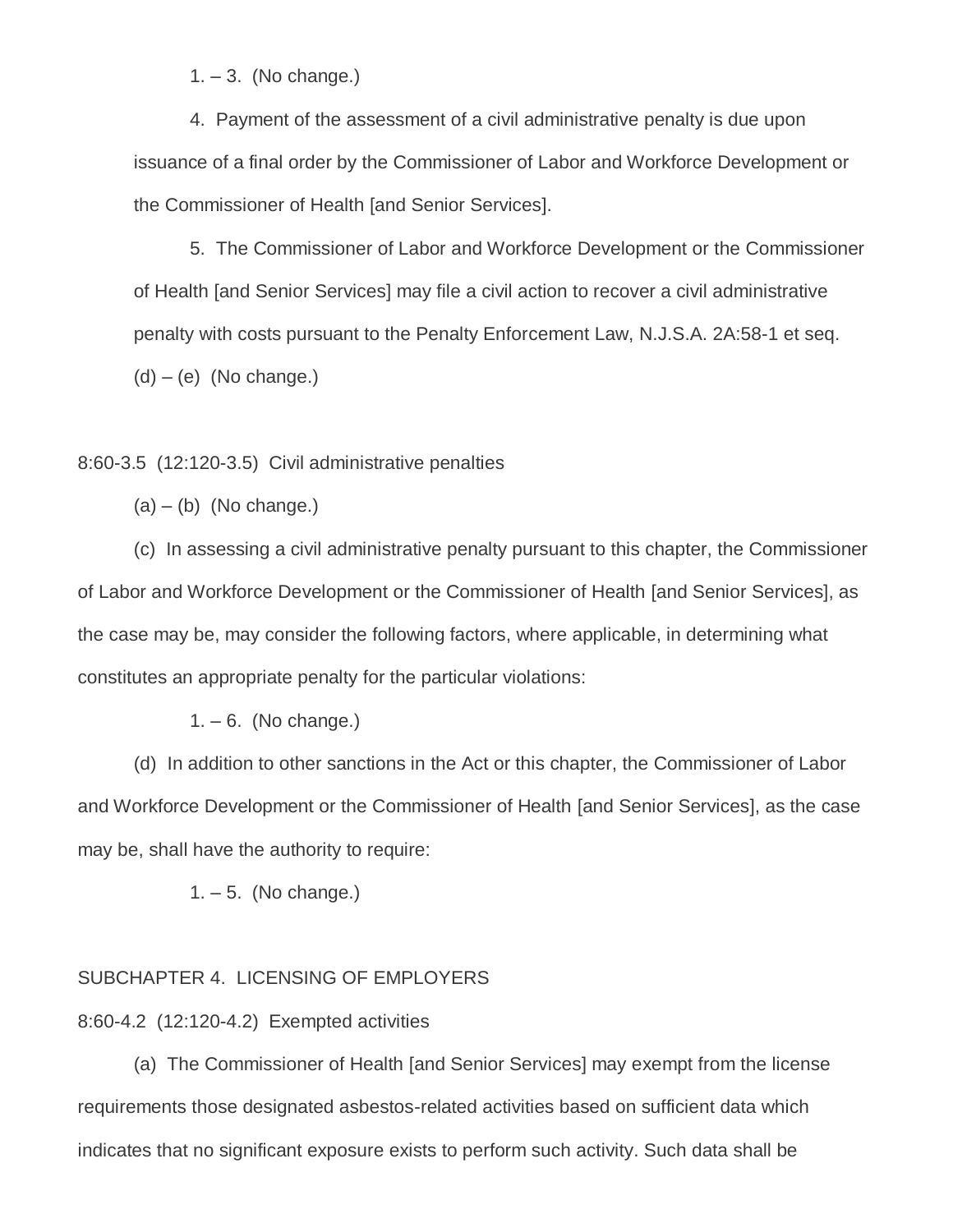$1. - 3.$  (No change.)

4. Payment of the assessment of a civil administrative penalty is due upon issuance of a final order by the Commissioner of Labor and Workforce Development or the Commissioner of Health [and Senior Services].

5. The Commissioner of Labor and Workforce Development or the Commissioner of Health [and Senior Services] may file a civil action to recover a civil administrative penalty with costs pursuant to the Penalty Enforcement Law, N.J.S.A. 2A:58-1 et seq.  $(d) - (e)$  (No change.)

8:60-3.5 (12:120-3.5) Civil administrative penalties

 $(a) - (b)$  (No change.)

(c) In assessing a civil administrative penalty pursuant to this chapter, the Commissioner of Labor and Workforce Development or the Commissioner of Health [and Senior Services], as the case may be, may consider the following factors, where applicable, in determining what constitutes an appropriate penalty for the particular violations:

 $1. - 6.$  (No change.)

(d) In addition to other sanctions in the Act or this chapter, the Commissioner of Labor and Workforce Development or the Commissioner of Health [and Senior Services], as the case may be, shall have the authority to require:

 $1. - 5.$  (No change.)

### SUBCHAPTER 4. LICENSING OF EMPLOYERS

8:60-4.2 (12:120-4.2) Exempted activities

(a) The Commissioner of Health [and Senior Services] may exempt from the license requirements those designated asbestos-related activities based on sufficient data which indicates that no significant exposure exists to perform such activity. Such data shall be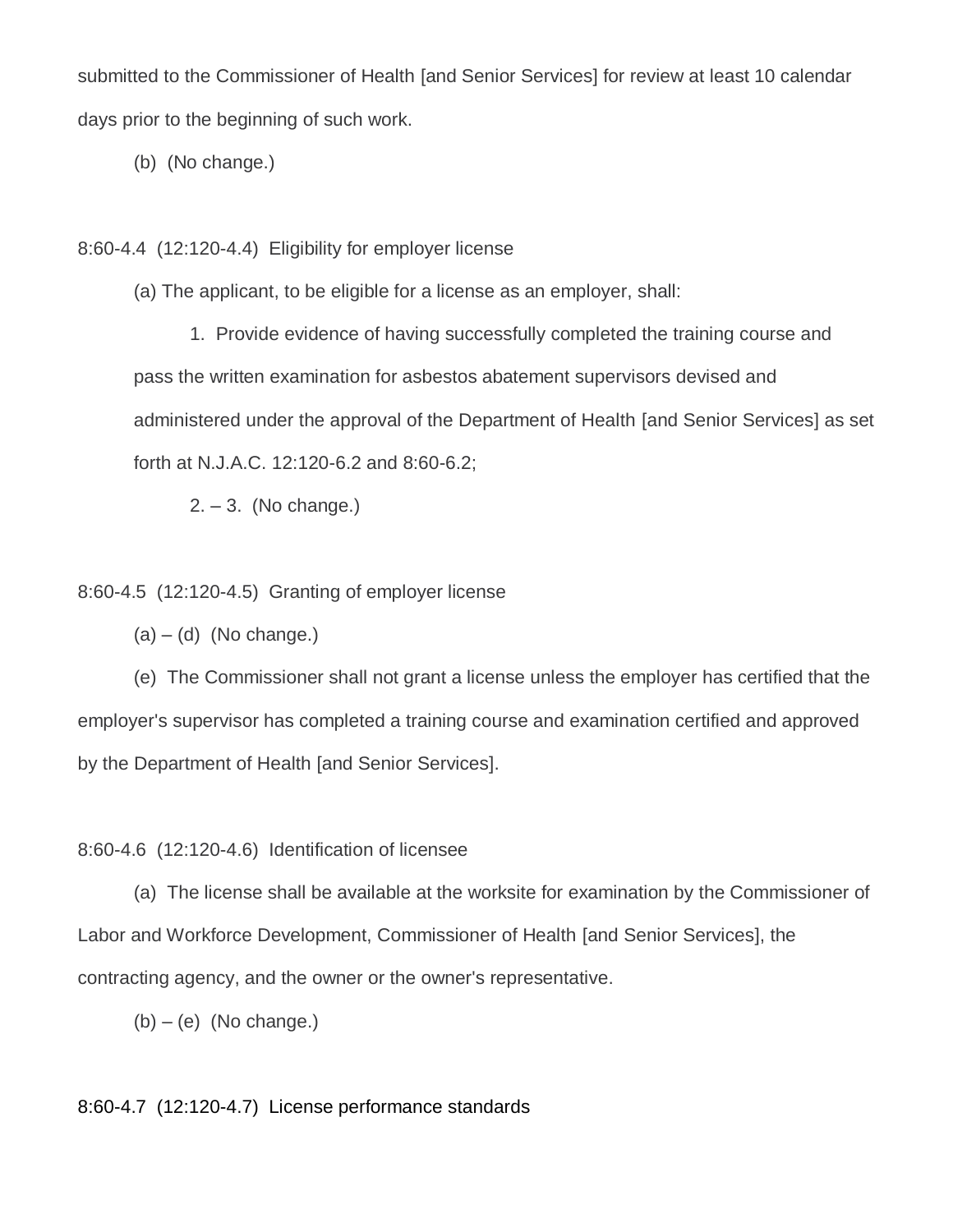submitted to the Commissioner of Health [and Senior Services] for review at least 10 calendar days prior to the beginning of such work.

(b) (No change.)

8:60-4.4 (12:120-4.4) Eligibility for employer license

(a) The applicant, to be eligible for a license as an employer, shall:

1. Provide evidence of having successfully completed the training course and pass the written examination for asbestos abatement supervisors devised and administered under the approval of the Department of Health [and Senior Services] as set forth at N.J.A.C. 12:120-6.2 and 8:60-6.2;

 $2. - 3.$  (No change.)

8:60-4.5 (12:120-4.5) Granting of employer license

 $(a) - (d)$  (No change.)

(e) The Commissioner shall not grant a license unless the employer has certified that the employer's supervisor has completed a training course and examination certified and approved by the Department of Health [and Senior Services].

8:60-4.6 (12:120-4.6) Identification of licensee

(a) The license shall be available at the worksite for examination by the Commissioner of Labor and Workforce Development, Commissioner of Health [and Senior Services], the contracting agency, and the owner or the owner's representative.

 $(b) - (e)$  (No change.)

8:60-4.7 (12:120-4.7) License performance standards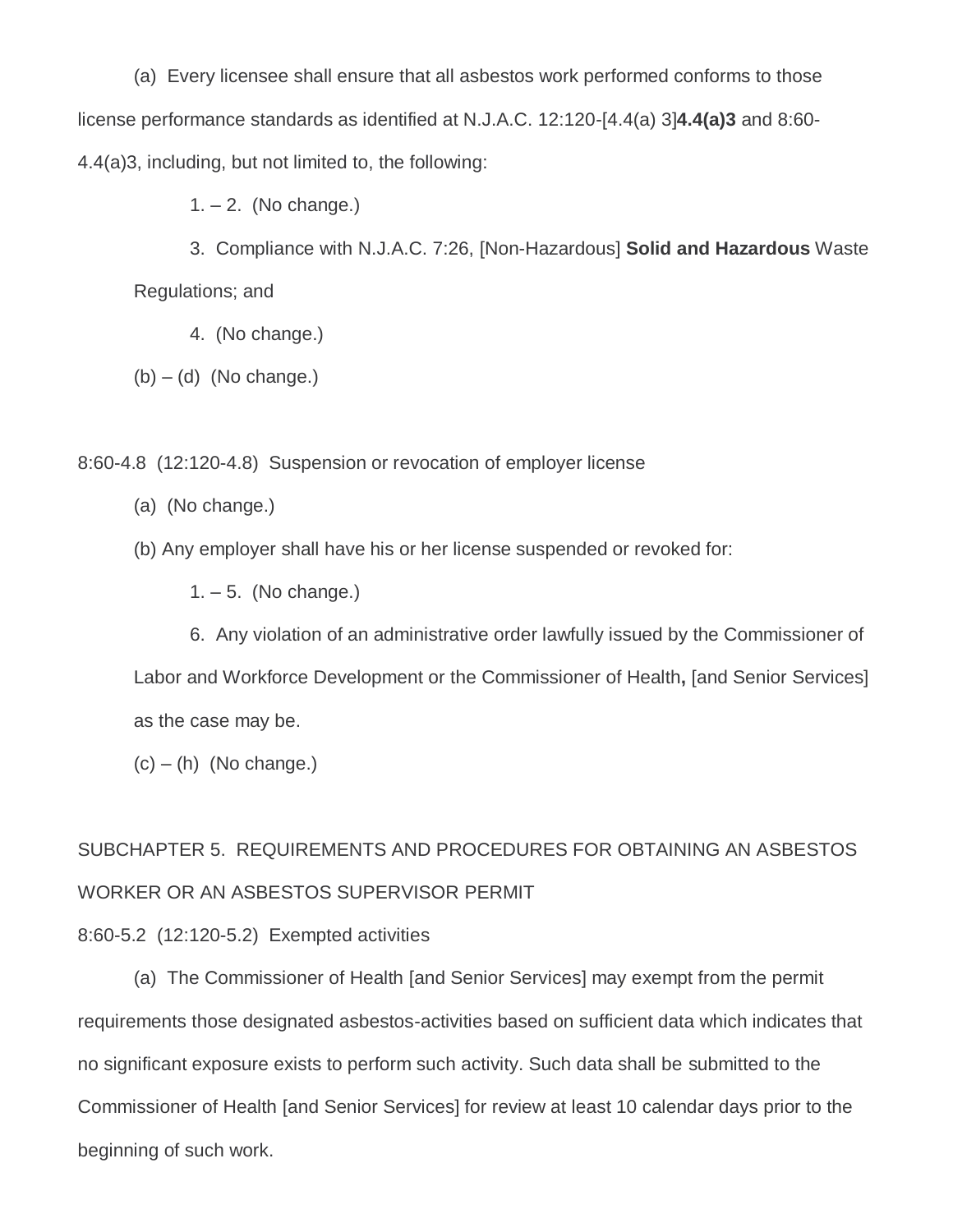(a) Every licensee shall ensure that all asbestos work performed conforms to those license performance standards as identified at N.J.A.C. 12:120-[4.4(a) 3]**4.4(a)3** and 8:60- 4.4(a)3, including, but not limited to, the following:

 $1. - 2.$  (No change.)

3. Compliance with N.J.A.C. 7:26, [Non-Hazardous] **Solid and Hazardous** Waste Regulations; and

4. (No change.)

 $(b) - (d)$  (No change.)

8:60-4.8 (12:120-4.8) Suspension or revocation of employer license

- (a) (No change.)
- (b) Any employer shall have his or her license suspended or revoked for:
	- $1. 5.$  (No change.)

6. Any violation of an administrative order lawfully issued by the Commissioner of Labor and Workforce Development or the Commissioner of Health**,** [and Senior Services] as the case may be.

 $(c) - (h)$  (No change.)

SUBCHAPTER 5. REQUIREMENTS AND PROCEDURES FOR OBTAINING AN ASBESTOS WORKER OR AN ASBESTOS SUPERVISOR PERMIT

8:60-5.2 (12:120-5.2) Exempted activities

(a) The Commissioner of Health [and Senior Services] may exempt from the permit requirements those designated asbestos-activities based on sufficient data which indicates that no significant exposure exists to perform such activity. Such data shall be submitted to the Commissioner of Health [and Senior Services] for review at least 10 calendar days prior to the beginning of such work.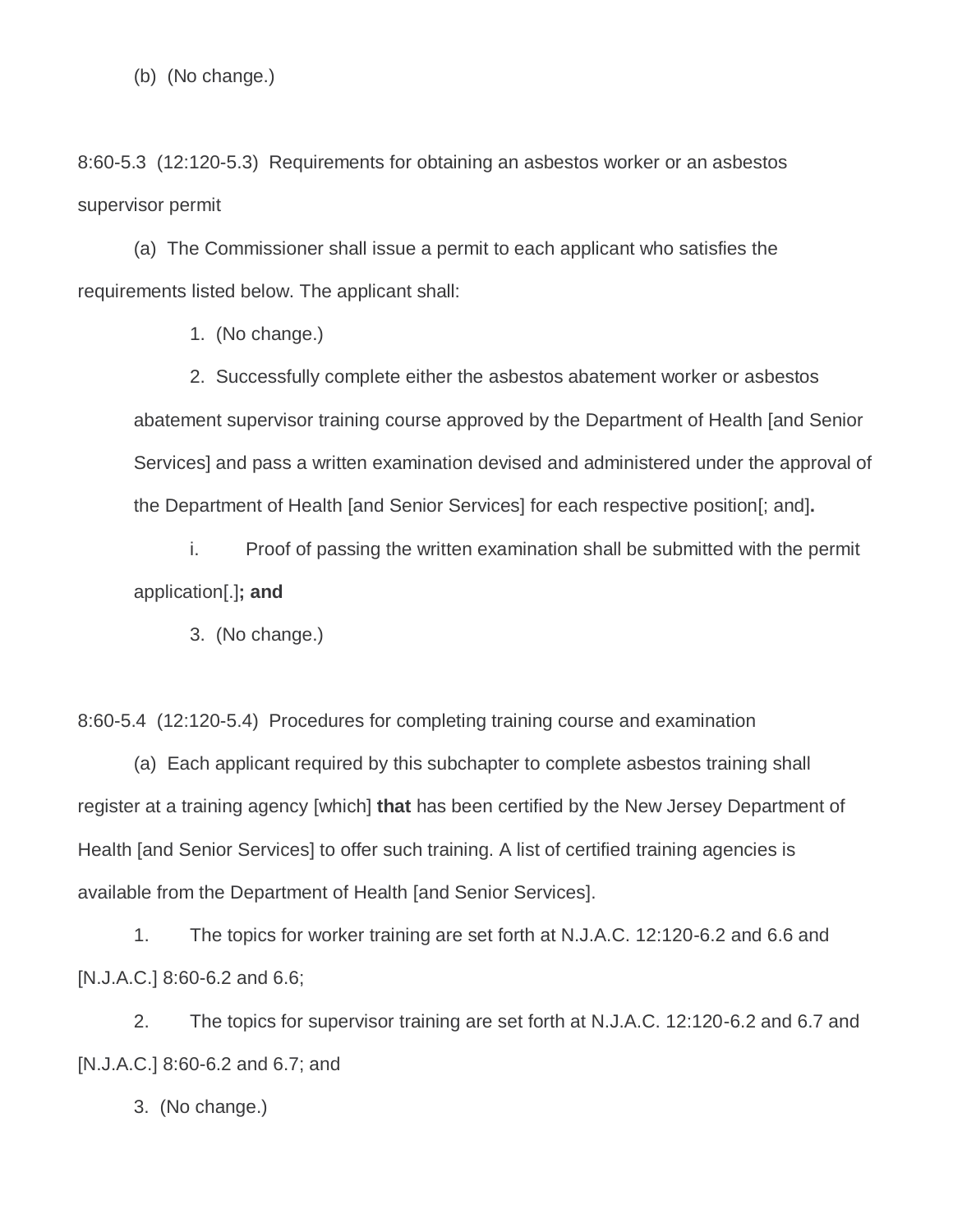(b) (No change.)

8:60-5.3 (12:120-5.3) Requirements for obtaining an asbestos worker or an asbestos supervisor permit

(a) The Commissioner shall issue a permit to each applicant who satisfies the requirements listed below. The applicant shall:

1. (No change.)

2. Successfully complete either the asbestos abatement worker or asbestos abatement supervisor training course approved by the Department of Health [and Senior Services] and pass a written examination devised and administered under the approval of the Department of Health [and Senior Services] for each respective position[; and]**.**

i. Proof of passing the written examination shall be submitted with the permit application[.]**; and**

3. (No change.)

8:60-5.4 (12:120-5.4) Procedures for completing training course and examination

(a) Each applicant required by this subchapter to complete asbestos training shall register at a training agency [which] **that** has been certified by the New Jersey Department of Health [and Senior Services] to offer such training. A list of certified training agencies is available from the Department of Health [and Senior Services].

1. The topics for worker training are set forth at N.J.A.C. 12:120-6.2 and 6.6 and [N.J.A.C.] 8:60-6.2 and 6.6;

2. The topics for supervisor training are set forth at N.J.A.C. 12:120-6.2 and 6.7 and [N.J.A.C.] 8:60-6.2 and 6.7; and

3. (No change.)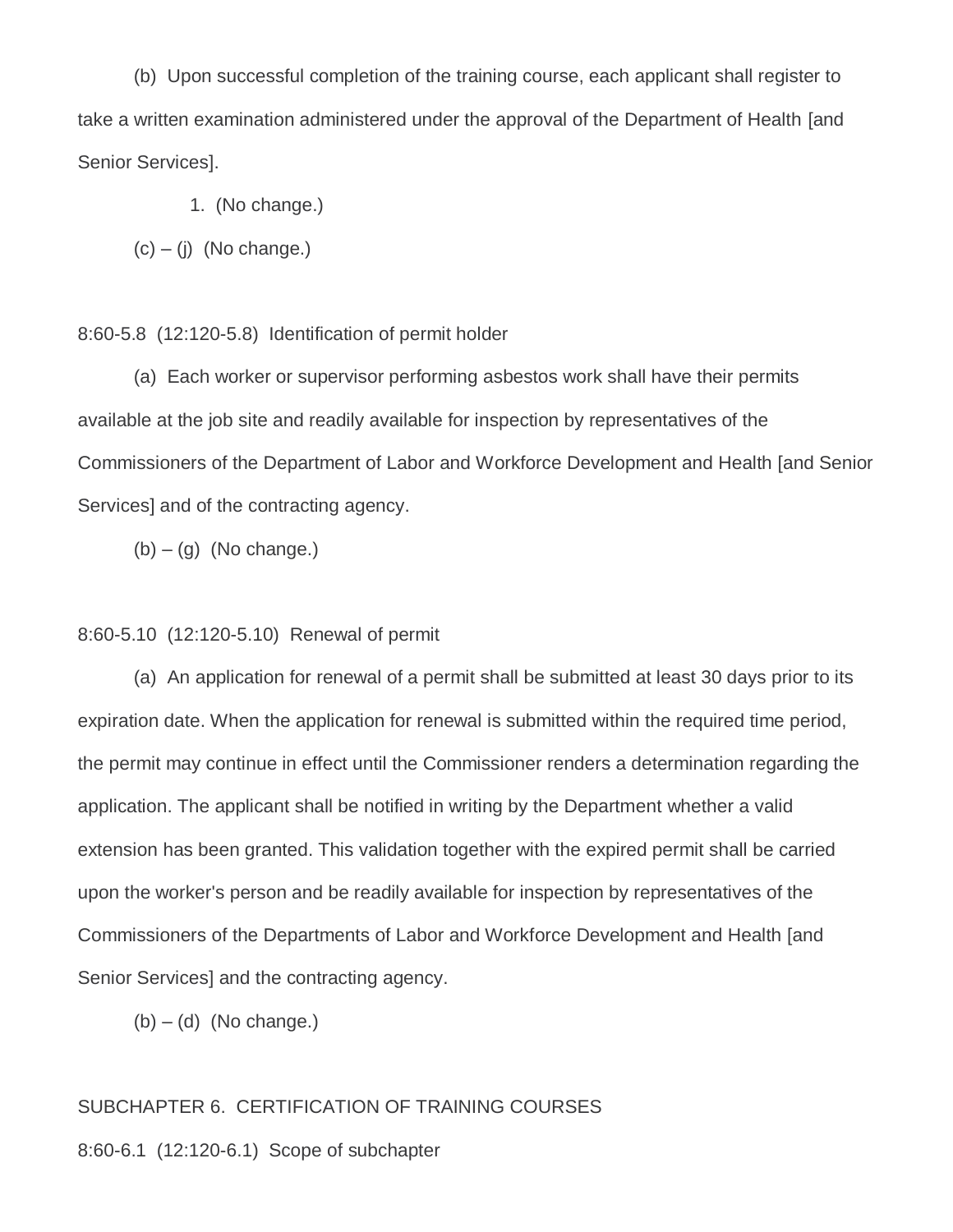(b) Upon successful completion of the training course, each applicant shall register to take a written examination administered under the approval of the Department of Health [and Senior Services].

- 1. (No change.)
- $(c) (i)$  (No change.)
- 8:60-5.8 (12:120-5.8) Identification of permit holder

(a) Each worker or supervisor performing asbestos work shall have their permits available at the job site and readily available for inspection by representatives of the Commissioners of the Department of Labor and Workforce Development and Health [and Senior Services] and of the contracting agency.

 $(b) - (q)$  (No change.)

#### 8:60-5.10 (12:120-5.10) Renewal of permit

(a) An application for renewal of a permit shall be submitted at least 30 days prior to its expiration date. When the application for renewal is submitted within the required time period, the permit may continue in effect until the Commissioner renders a determination regarding the application. The applicant shall be notified in writing by the Department whether a valid extension has been granted. This validation together with the expired permit shall be carried upon the worker's person and be readily available for inspection by representatives of the Commissioners of the Departments of Labor and Workforce Development and Health [and Senior Services] and the contracting agency.

 $(b) - (d)$  (No change.)

#### SUBCHAPTER 6. CERTIFICATION OF TRAINING COURSES

8:60-6.1 (12:120-6.1) Scope of subchapter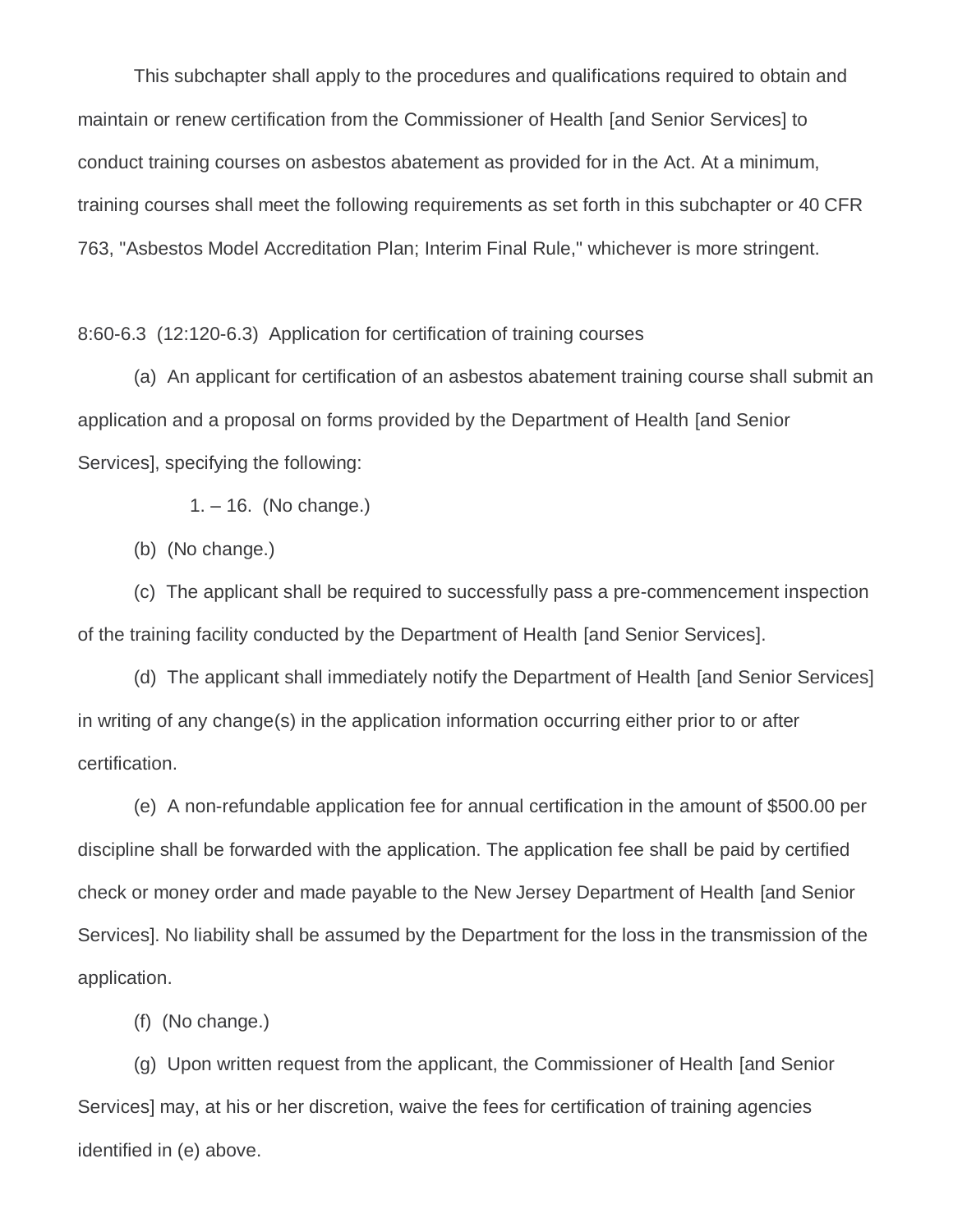This subchapter shall apply to the procedures and qualifications required to obtain and maintain or renew certification from the Commissioner of Health [and Senior Services] to conduct training courses on asbestos abatement as provided for in the Act. At a minimum, training courses shall meet the following requirements as set forth in this subchapter or 40 CFR 763, "Asbestos Model Accreditation Plan; Interim Final Rule," whichever is more stringent.

8:60-6.3 (12:120-6.3) Application for certification of training courses

(a) An applicant for certification of an asbestos abatement training course shall submit an application and a proposal on forms provided by the Department of Health [and Senior Services], specifying the following:

1. – 16. (No change.)

(b) (No change.)

(c) The applicant shall be required to successfully pass a pre-commencement inspection of the training facility conducted by the Department of Health [and Senior Services].

(d) The applicant shall immediately notify the Department of Health [and Senior Services] in writing of any change(s) in the application information occurring either prior to or after certification.

(e) A non-refundable application fee for annual certification in the amount of \$500.00 per discipline shall be forwarded with the application. The application fee shall be paid by certified check or money order and made payable to the New Jersey Department of Health [and Senior Services]. No liability shall be assumed by the Department for the loss in the transmission of the application.

(f) (No change.)

(g) Upon written request from the applicant, the Commissioner of Health [and Senior Services] may, at his or her discretion, waive the fees for certification of training agencies identified in (e) above.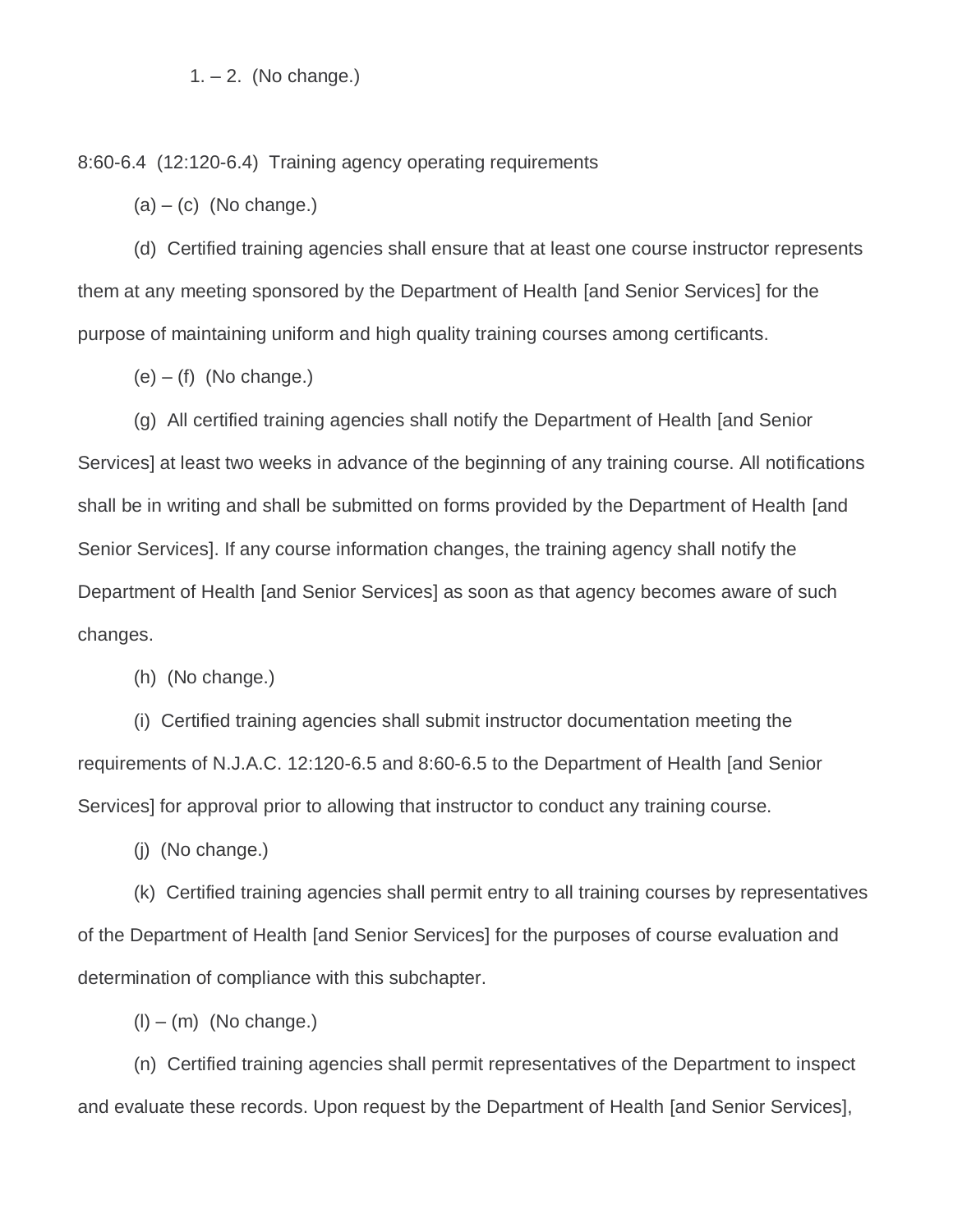#### $1. - 2.$  (No change.)

8:60-6.4 (12:120-6.4) Training agency operating requirements

 $(a) - (c)$  (No change.)

(d) Certified training agencies shall ensure that at least one course instructor represents them at any meeting sponsored by the Department of Health [and Senior Services] for the purpose of maintaining uniform and high quality training courses among certificants.

 $(e) - (f)$  (No change.)

(g) All certified training agencies shall notify the Department of Health [and Senior Services] at least two weeks in advance of the beginning of any training course. All notifications shall be in writing and shall be submitted on forms provided by the Department of Health [and Senior Services]. If any course information changes, the training agency shall notify the Department of Health [and Senior Services] as soon as that agency becomes aware of such changes.

(h) (No change.)

(i) Certified training agencies shall submit instructor documentation meeting the requirements of N.J.A.C. 12:120-6.5 and 8:60-6.5 to the Department of Health [and Senior Services] for approval prior to allowing that instructor to conduct any training course.

(j) (No change.)

(k) Certified training agencies shall permit entry to all training courses by representatives of the Department of Health [and Senior Services] for the purposes of course evaluation and determination of compliance with this subchapter.

 $(l) - (m)$  (No change.)

(n) Certified training agencies shall permit representatives of the Department to inspect and evaluate these records. Upon request by the Department of Health [and Senior Services],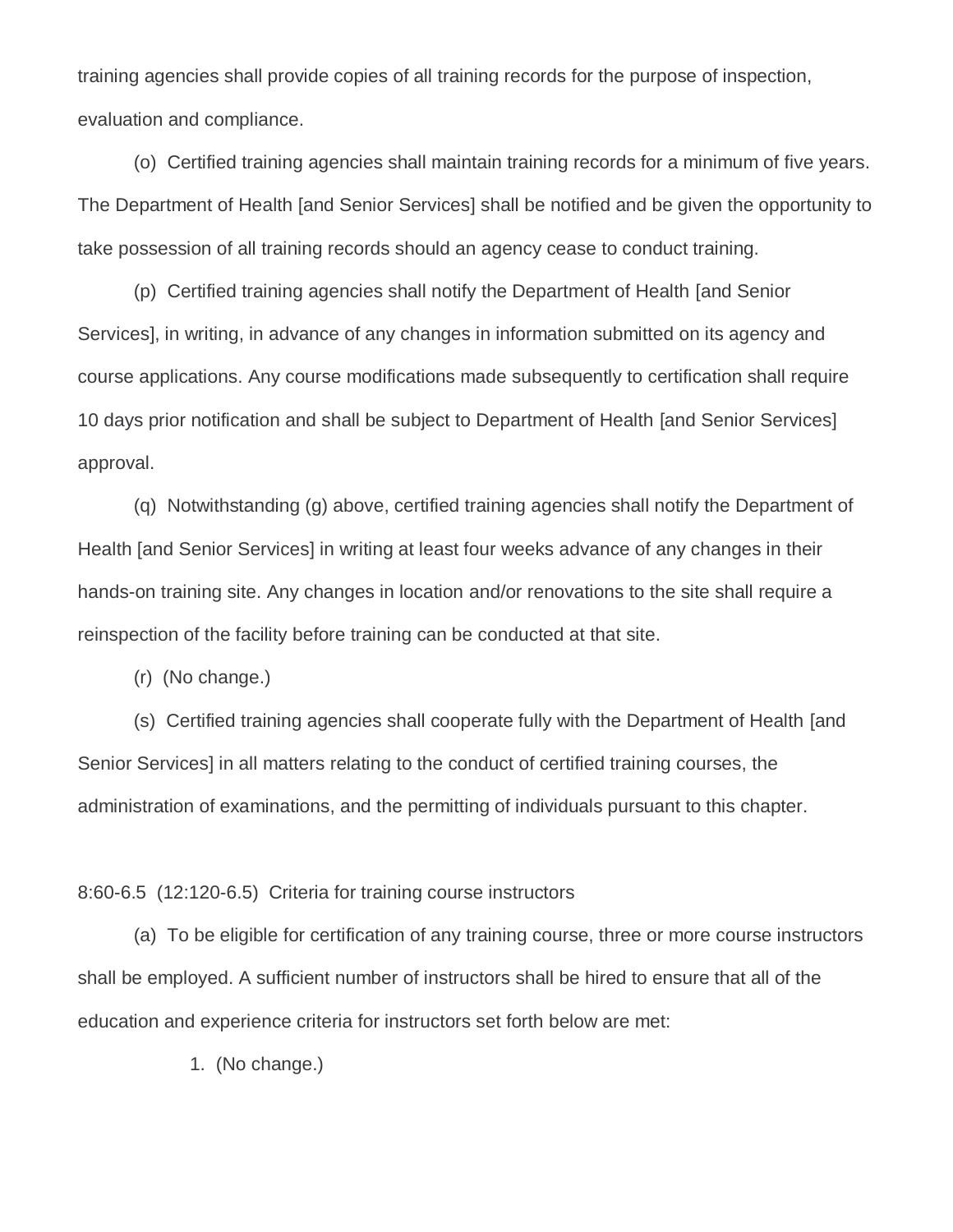training agencies shall provide copies of all training records for the purpose of inspection, evaluation and compliance.

(o) Certified training agencies shall maintain training records for a minimum of five years. The Department of Health [and Senior Services] shall be notified and be given the opportunity to take possession of all training records should an agency cease to conduct training.

(p) Certified training agencies shall notify the Department of Health [and Senior Services], in writing, in advance of any changes in information submitted on its agency and course applications. Any course modifications made subsequently to certification shall require 10 days prior notification and shall be subject to Department of Health [and Senior Services] approval.

(q) Notwithstanding (g) above, certified training agencies shall notify the Department of Health [and Senior Services] in writing at least four weeks advance of any changes in their hands-on training site. Any changes in location and/or renovations to the site shall require a reinspection of the facility before training can be conducted at that site.

(r) (No change.)

(s) Certified training agencies shall cooperate fully with the Department of Health [and Senior Services] in all matters relating to the conduct of certified training courses, the administration of examinations, and the permitting of individuals pursuant to this chapter.

8:60-6.5 (12:120-6.5) Criteria for training course instructors

(a) To be eligible for certification of any training course, three or more course instructors shall be employed. A sufficient number of instructors shall be hired to ensure that all of the education and experience criteria for instructors set forth below are met:

1. (No change.)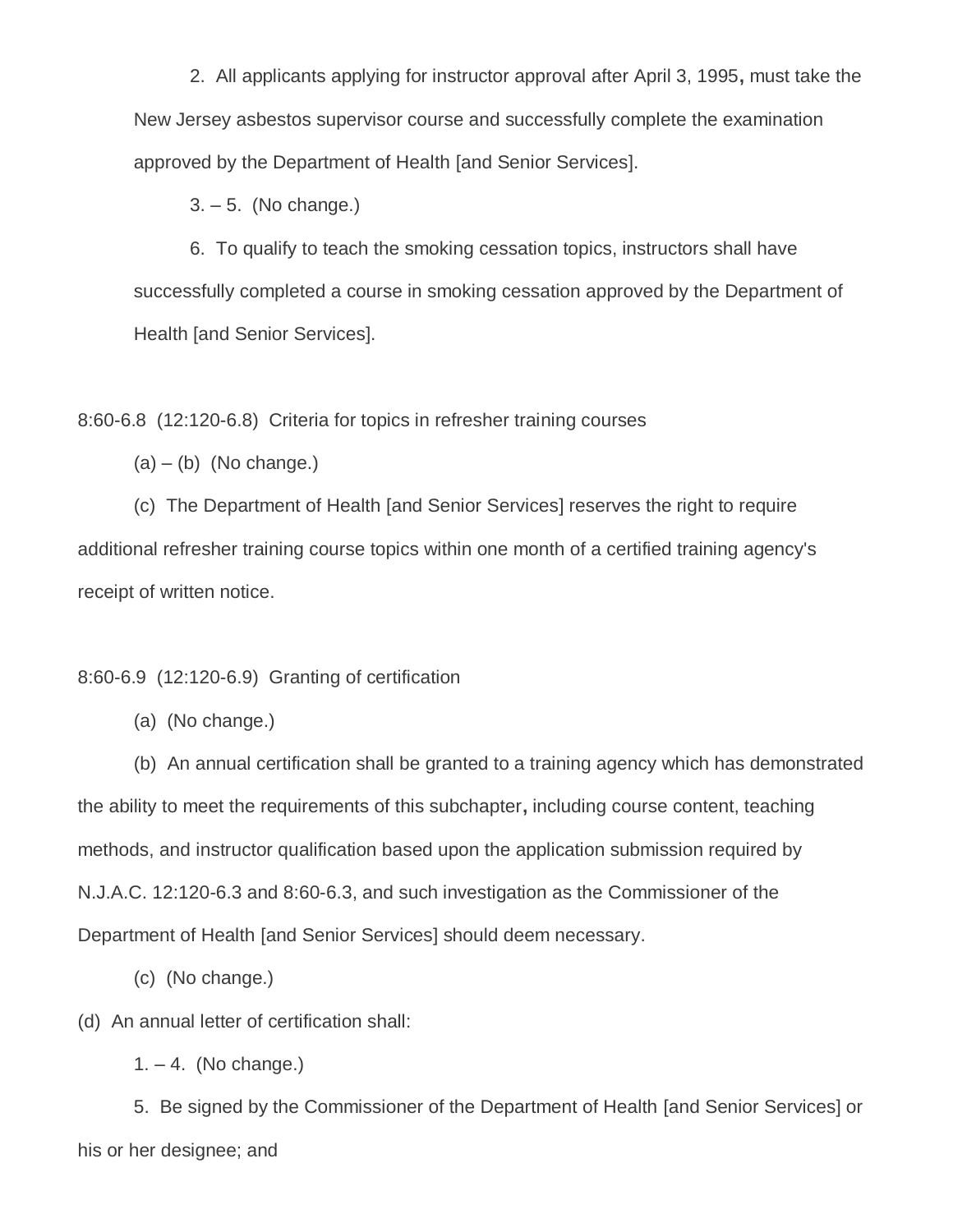2. All applicants applying for instructor approval after April 3, 1995**,** must take the New Jersey asbestos supervisor course and successfully complete the examination approved by the Department of Health [and Senior Services].

3. – 5. (No change.)

6. To qualify to teach the smoking cessation topics, instructors shall have successfully completed a course in smoking cessation approved by the Department of Health [and Senior Services].

8:60-6.8 (12:120-6.8) Criteria for topics in refresher training courses

 $(a) - (b)$  (No change.)

(c) The Department of Health [and Senior Services] reserves the right to require additional refresher training course topics within one month of a certified training agency's receipt of written notice.

8:60-6.9 (12:120-6.9) Granting of certification

(a) (No change.)

(b) An annual certification shall be granted to a training agency which has demonstrated the ability to meet the requirements of this subchapter**,** including course content, teaching methods, and instructor qualification based upon the application submission required by N.J.A.C. 12:120-6.3 and 8:60-6.3, and such investigation as the Commissioner of the Department of Health [and Senior Services] should deem necessary.

(c) (No change.)

(d) An annual letter of certification shall:

 $1. - 4.$  (No change.)

5. Be signed by the Commissioner of the Department of Health [and Senior Services] or his or her designee; and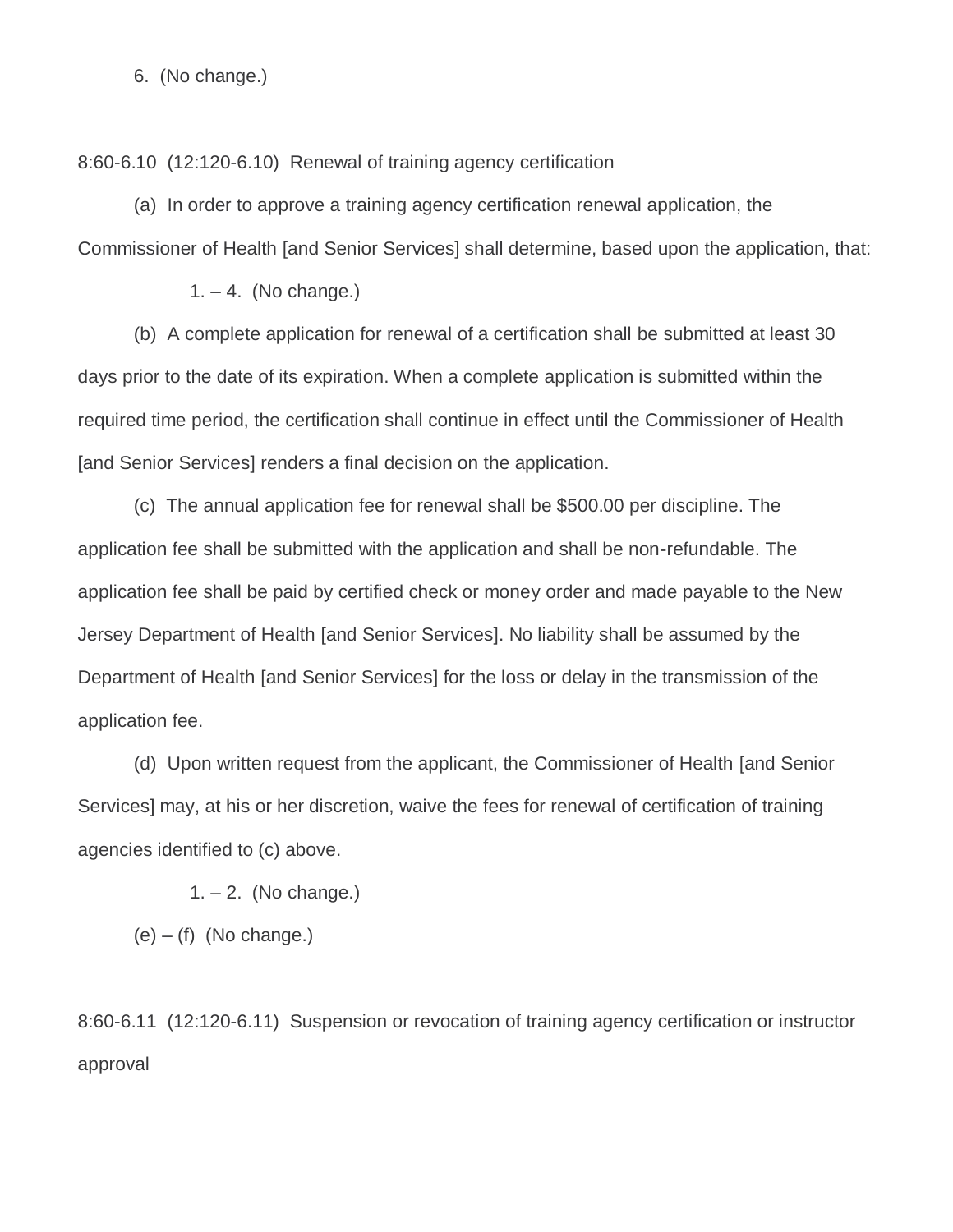6. (No change.)

8:60-6.10 (12:120-6.10) Renewal of training agency certification

(a) In order to approve a training agency certification renewal application, the Commissioner of Health [and Senior Services] shall determine, based upon the application, that:

 $1. - 4.$  (No change.)

(b) A complete application for renewal of a certification shall be submitted at least 30 days prior to the date of its expiration. When a complete application is submitted within the required time period, the certification shall continue in effect until the Commissioner of Health [and Senior Services] renders a final decision on the application.

(c) The annual application fee for renewal shall be \$500.00 per discipline. The application fee shall be submitted with the application and shall be non-refundable. The application fee shall be paid by certified check or money order and made payable to the New Jersey Department of Health [and Senior Services]. No liability shall be assumed by the Department of Health [and Senior Services] for the loss or delay in the transmission of the application fee.

(d) Upon written request from the applicant, the Commissioner of Health [and Senior Services] may, at his or her discretion, waive the fees for renewal of certification of training agencies identified to (c) above.

 $1. - 2.$  (No change.)

 $(e) - (f)$  (No change.)

8:60-6.11 (12:120-6.11) Suspension or revocation of training agency certification or instructor approval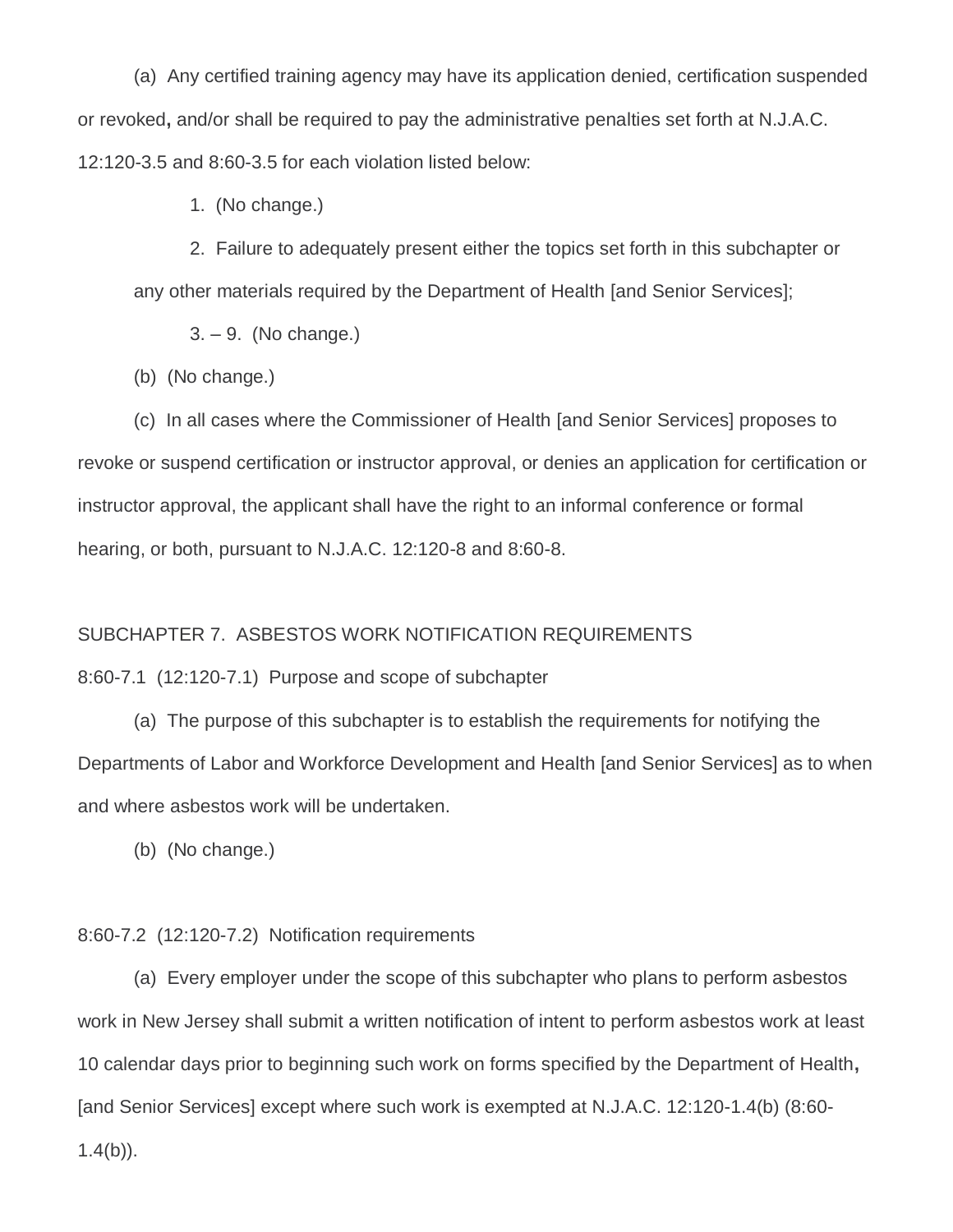(a) Any certified training agency may have its application denied, certification suspended or revoked**,** and/or shall be required to pay the administrative penalties set forth at N.J.A.C. 12:120-3.5 and 8:60-3.5 for each violation listed below:

1. (No change.)

2. Failure to adequately present either the topics set forth in this subchapter or any other materials required by the Department of Health [and Senior Services];

3. – 9. (No change.)

(b) (No change.)

(c) In all cases where the Commissioner of Health [and Senior Services] proposes to revoke or suspend certification or instructor approval, or denies an application for certification or instructor approval, the applicant shall have the right to an informal conference or formal hearing, or both, pursuant to N.J.A.C. 12:120-8 and 8:60-8.

## SUBCHAPTER 7. ASBESTOS WORK NOTIFICATION REQUIREMENTS

8:60-7.1 (12:120-7.1) Purpose and scope of subchapter

(a) The purpose of this subchapter is to establish the requirements for notifying the Departments of Labor and Workforce Development and Health [and Senior Services] as to when and where asbestos work will be undertaken.

(b) (No change.)

# 8:60-7.2 (12:120-7.2) Notification requirements

(a) Every employer under the scope of this subchapter who plans to perform asbestos work in New Jersey shall submit a written notification of intent to perform asbestos work at least 10 calendar days prior to beginning such work on forms specified by the Department of Health**,** [and Senior Services] except where such work is exempted at N.J.A.C. 12:120-1.4(b) (8:60-  $1.4(b)$ ).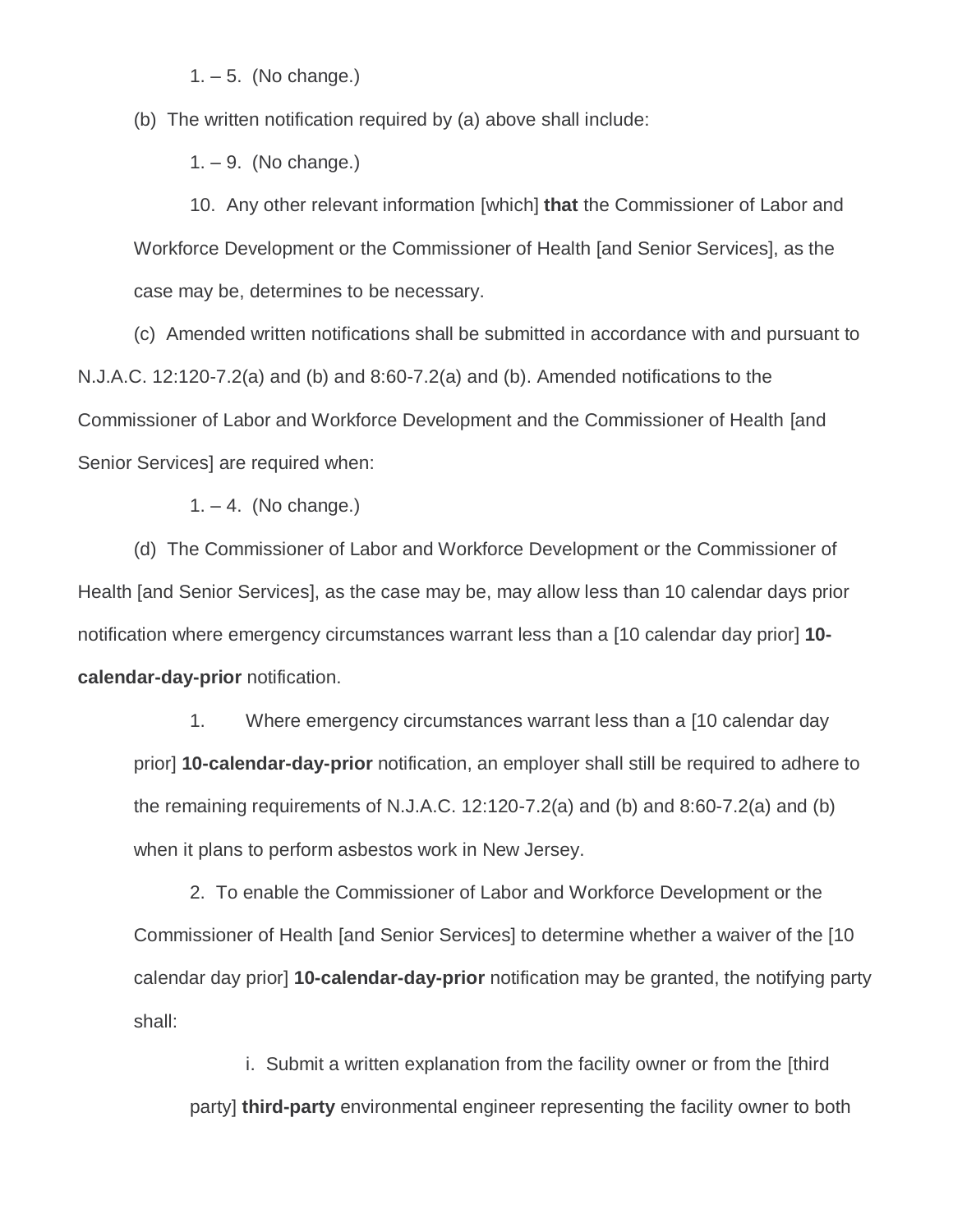$1. - 5.$  (No change.)

(b) The written notification required by (a) above shall include:

1. – 9. (No change.)

10. Any other relevant information [which] **that** the Commissioner of Labor and Workforce Development or the Commissioner of Health [and Senior Services], as the case may be, determines to be necessary.

(c) Amended written notifications shall be submitted in accordance with and pursuant to N.J.A.C. 12:120-7.2(a) and (b) and 8:60-7.2(a) and (b). Amended notifications to the Commissioner of Labor and Workforce Development and the Commissioner of Health [and Senior Services] are required when:

 $1. - 4.$  (No change.)

(d) The Commissioner of Labor and Workforce Development or the Commissioner of Health [and Senior Services], as the case may be, may allow less than 10 calendar days prior notification where emergency circumstances warrant less than a [10 calendar day prior] **10 calendar-day-prior** notification.

1. Where emergency circumstances warrant less than a [10 calendar day prior] **10-calendar-day-prior** notification, an employer shall still be required to adhere to the remaining requirements of N.J.A.C. 12:120-7.2(a) and (b) and 8:60-7.2(a) and (b) when it plans to perform asbestos work in New Jersey.

2. To enable the Commissioner of Labor and Workforce Development or the Commissioner of Health [and Senior Services] to determine whether a waiver of the [10 calendar day prior] **10-calendar-day-prior** notification may be granted, the notifying party shall:

i. Submit a written explanation from the facility owner or from the [third party] **third-party** environmental engineer representing the facility owner to both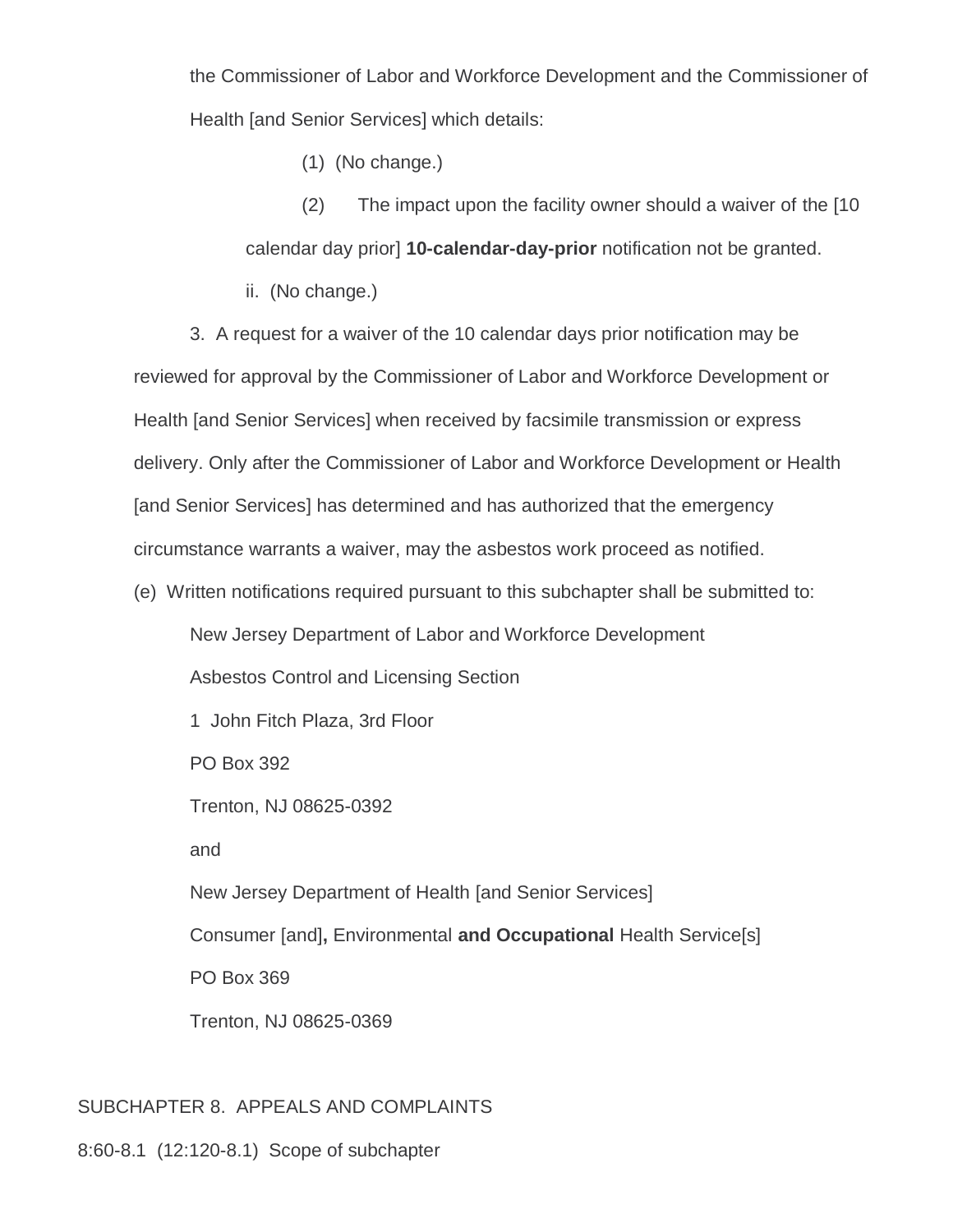the Commissioner of Labor and Workforce Development and the Commissioner of Health [and Senior Services] which details:

(1) (No change.)

(2) The impact upon the facility owner should a waiver of the [10 calendar day prior] **10-calendar-day-prior** notification not be granted.

ii. (No change.)

3. A request for a waiver of the 10 calendar days prior notification may be reviewed for approval by the Commissioner of Labor and Workforce Development or Health [and Senior Services] when received by facsimile transmission or express delivery. Only after the Commissioner of Labor and Workforce Development or Health [and Senior Services] has determined and has authorized that the emergency circumstance warrants a waiver, may the asbestos work proceed as notified.

(e) Written notifications required pursuant to this subchapter shall be submitted to:

New Jersey Department of Labor and Workforce Development

Asbestos Control and Licensing Section

1 John Fitch Plaza, 3rd Floor

PO Box 392

Trenton, NJ 08625-0392

and

New Jersey Department of Health [and Senior Services]

Consumer [and]**,** Environmental **and Occupational** Health Service[s]

PO Box 369

Trenton, NJ 08625-0369

# SUBCHAPTER 8. APPEALS AND COMPLAINTS

8:60-8.1 (12:120-8.1) Scope of subchapter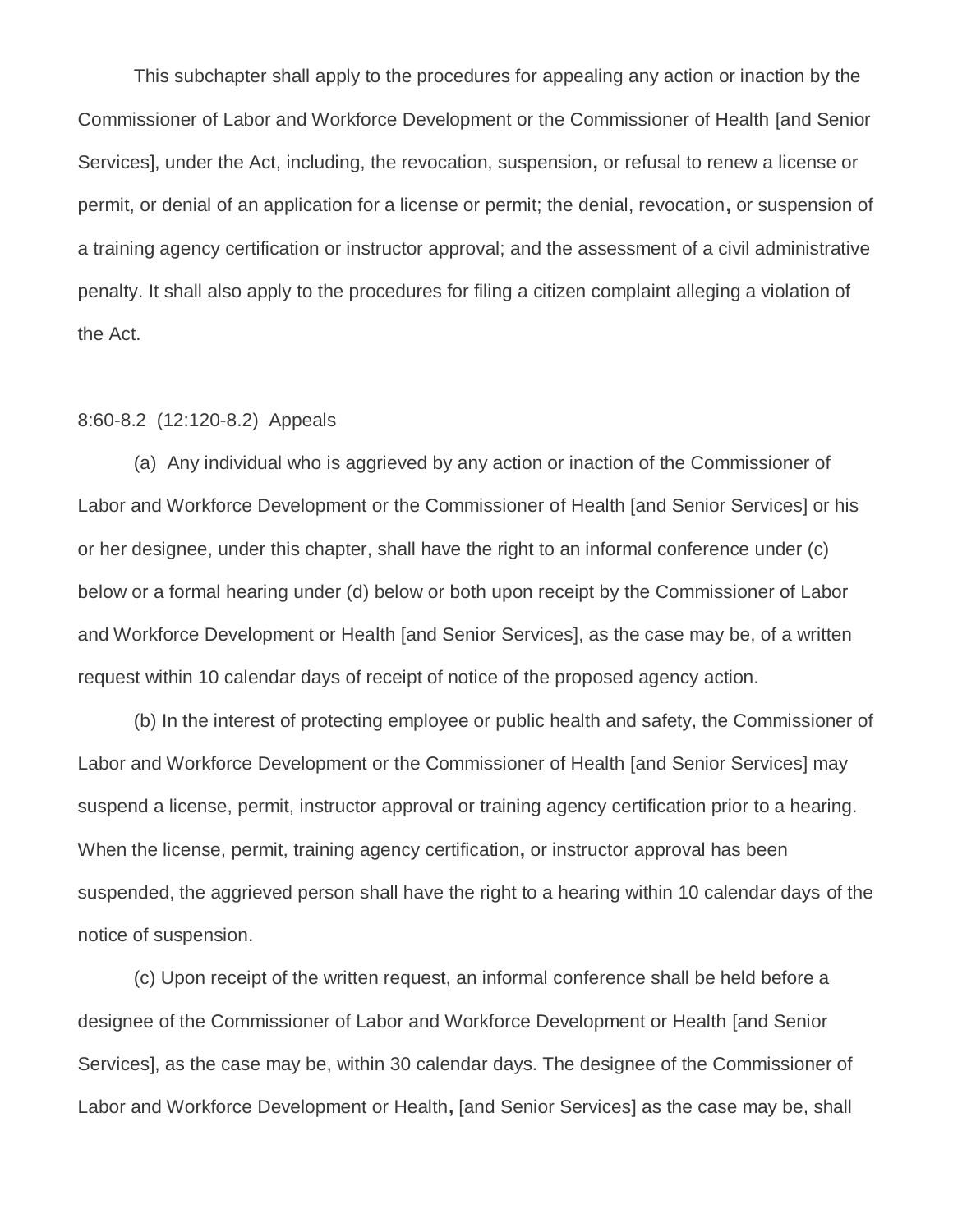This subchapter shall apply to the procedures for appealing any action or inaction by the Commissioner of Labor and Workforce Development or the Commissioner of Health [and Senior Services], under the Act, including, the revocation, suspension**,** or refusal to renew a license or permit, or denial of an application for a license or permit; the denial, revocation**,** or suspension of a training agency certification or instructor approval; and the assessment of a civil administrative penalty. It shall also apply to the procedures for filing a citizen complaint alleging a violation of the Act.

#### 8:60-8.2 (12:120-8.2) Appeals

(a) Any individual who is aggrieved by any action or inaction of the Commissioner of Labor and Workforce Development or the Commissioner of Health [and Senior Services] or his or her designee, under this chapter, shall have the right to an informal conference under (c) below or a formal hearing under (d) below or both upon receipt by the Commissioner of Labor and Workforce Development or Health [and Senior Services], as the case may be, of a written request within 10 calendar days of receipt of notice of the proposed agency action.

(b) In the interest of protecting employee or public health and safety, the Commissioner of Labor and Workforce Development or the Commissioner of Health [and Senior Services] may suspend a license, permit, instructor approval or training agency certification prior to a hearing. When the license, permit, training agency certification**,** or instructor approval has been suspended, the aggrieved person shall have the right to a hearing within 10 calendar days of the notice of suspension.

(c) Upon receipt of the written request, an informal conference shall be held before a designee of the Commissioner of Labor and Workforce Development or Health [and Senior Services], as the case may be, within 30 calendar days. The designee of the Commissioner of Labor and Workforce Development or Health**,** [and Senior Services] as the case may be, shall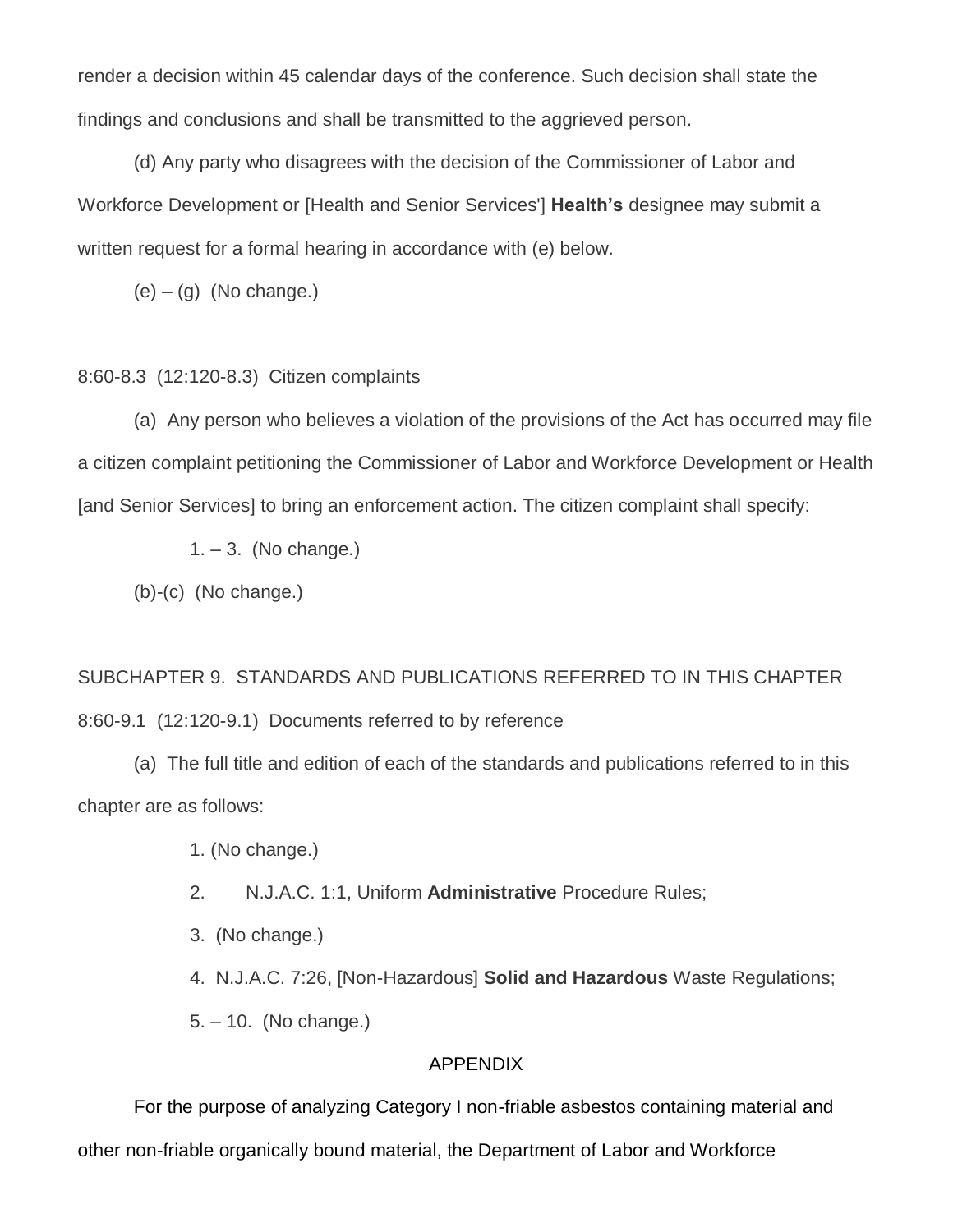render a decision within 45 calendar days of the conference. Such decision shall state the findings and conclusions and shall be transmitted to the aggrieved person.

(d) Any party who disagrees with the decision of the Commissioner of Labor and Workforce Development or [Health and Senior Services'] **Health's** designee may submit a written request for a formal hearing in accordance with (e) below.

 $(e) - (q)$  (No change.)

### 8:60-8.3 (12:120-8.3) Citizen complaints

(a) Any person who believes a violation of the provisions of the Act has occurred may file a citizen complaint petitioning the Commissioner of Labor and Workforce Development or Health [and Senior Services] to bring an enforcement action. The citizen complaint shall specify:

 $1. - 3.$  (No change.)

(b)-(c) (No change.)

SUBCHAPTER 9. STANDARDS AND PUBLICATIONS REFERRED TO IN THIS CHAPTER 8:60-9.1 (12:120-9.1) Documents referred to by reference

(a) The full title and edition of each of the standards and publications referred to in this chapter are as follows:

1. (No change.)

2. N.J.A.C. 1:1, Uniform **Administrative** Procedure Rules;

3. (No change.)

4. N.J.A.C. 7:26, [Non-Hazardous] **Solid and Hazardous** Waste Regulations;

5. – 10. (No change.)

## APPENDIX

For the purpose of analyzing Category I non-friable asbestos containing material and other non-friable organically bound material, the Department of Labor and Workforce